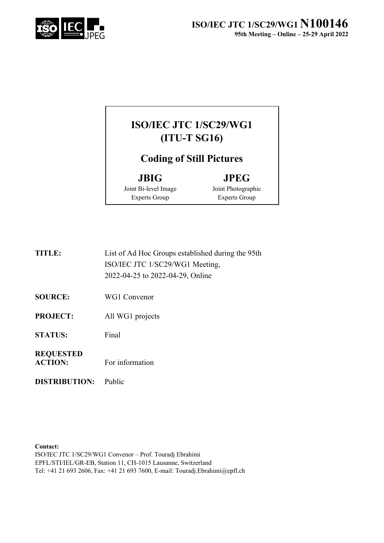



Joint Bi-level Image Experts Group

Joint Photographic

Experts Group

| <b>TITLE:</b> | List of Ad Hoc Groups established during the 95th |
|---------------|---------------------------------------------------|
|               | ISO/IEC JTC 1/SC29/WG1 Meeting,                   |
|               | 2022-04-25 to 2022-04-29, Online                  |

**SOURCE:** WG1 Convenor

**PROJECT:** All WG1 projects

**STATUS:** Final

#### **REQUESTED ACTION:** For information

**DISTRIBUTION:** Public

**Contact:**

ISO/IEC JTC 1/SC29/WG1 Convenor – Prof. Touradj Ebrahimi EPFL/STI/IEL/GR-EB, Station 11, CH-1015 Lausanne, Switzerland Tel: +41 21 693 2606, Fax: +41 21 693 7600, E-mail: Touradj.Ebrahimi@epfl.ch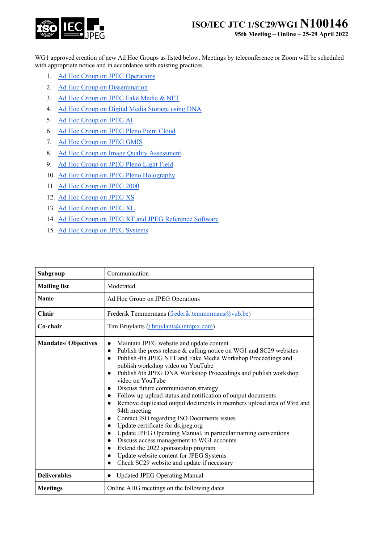

**95th Meeting – Online – 25-29 April 2022**

WG1 approved creation of new Ad Hoc Groups as listed below. Meetings by teleconference or Zoom will be scheduled with appropriate notice and in accordance with existing practices.

- 1. Ad Hoc Group on JPEG Operations
- 2. Ad Hoc Group on Dissemination
- 3. Ad Hoc Group on JPEG Fake Media & NFT
- 4. Ad Hoc Group on Digital Media Storage using DNA
- 5. Ad Hoc Group on JPEG AI
- 6. Ad Hoc Group on JPEG Pleno Point Cloud
- 7. Ad Hoc Group on JPEG GMIS
- 8. Ad Hoc Group on Image Quality Assessment
- 9. Ad Hoc Group on JPEG Pleno Light Field
- 10. Ad Hoc Group on JPEG Pleno Holography
- 11. Ad Hoc Group on JPEG 2000
- 12. Ad Hoc Group on JPEG XS
- 13. Ad Hoc Group on JPEG XL
- 14. Ad Hoc Group on JPEG XT and JPEG Reference Software
- 15. Ad Hoc Group on JPEG Systems

| Subgroup                    | Communication                                                                                                                                                                                                                                                                                                                                                                                                                                                                                                                                                                                                                                                                                                                                                                                                                                                                                                    |
|-----------------------------|------------------------------------------------------------------------------------------------------------------------------------------------------------------------------------------------------------------------------------------------------------------------------------------------------------------------------------------------------------------------------------------------------------------------------------------------------------------------------------------------------------------------------------------------------------------------------------------------------------------------------------------------------------------------------------------------------------------------------------------------------------------------------------------------------------------------------------------------------------------------------------------------------------------|
| <b>Mailing list</b>         | Moderated                                                                                                                                                                                                                                                                                                                                                                                                                                                                                                                                                                                                                                                                                                                                                                                                                                                                                                        |
| <b>Name</b>                 | Ad Hoc Group on JPEG Operations                                                                                                                                                                                                                                                                                                                                                                                                                                                                                                                                                                                                                                                                                                                                                                                                                                                                                  |
| Chair                       | Frederik Temmermans (frederik.temmermans@vub.be)                                                                                                                                                                                                                                                                                                                                                                                                                                                                                                                                                                                                                                                                                                                                                                                                                                                                 |
| Co-chair                    | Tim Bruylants (t.bruylants@intopix.com)                                                                                                                                                                                                                                                                                                                                                                                                                                                                                                                                                                                                                                                                                                                                                                                                                                                                          |
| <b>Mandates/ Objectives</b> | Maintain JPEG website and update content<br>Publish the press release & calling notice on WG1 and SC29 websites<br>$\bullet$<br>Publish 4th JPEG NFT and Fake Media Workshop Proceedings and<br>publish workshop video on YouTube<br>Publish 6th JPEG DNA Workshop Proceedings and publish workshop<br>$\bullet$<br>video on YouTube<br>Discuss future communication strategy<br>Follow up upload status and notification of output documents<br>Remove duplicated output documents in members upload area of 93rd and<br>94th meeting<br>Contact ISO regarding ISO Documents issues<br>Update certificate for ds.jpeg.org<br>$\bullet$<br>Update JPEG Operating Manual, in particular naming conventions<br>Discuss access management to WG1 accounts<br>$\bullet$<br>Extend the 2022 sponsorship program<br>Update website content for JPEG Systems<br>$\bullet$<br>Check SC29 website and update if necessary |
| <b>Deliverables</b>         | <b>Updated JPEG Operating Manual</b><br>$\bullet$                                                                                                                                                                                                                                                                                                                                                                                                                                                                                                                                                                                                                                                                                                                                                                                                                                                                |
| <b>Meetings</b>             | Online AHG meetings on the following dates                                                                                                                                                                                                                                                                                                                                                                                                                                                                                                                                                                                                                                                                                                                                                                                                                                                                       |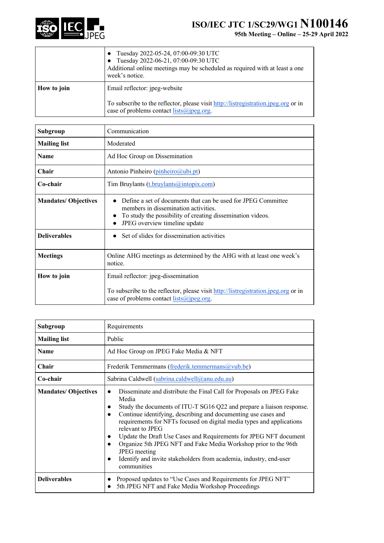

|             | Tuesday 2022-05-24, 07:00-09:30 UTC<br>Tuesday 2022-06-21, 07:00-09:30 UTC<br>Additional online meetings may be scheduled as required with at least a one<br>week's notice. |
|-------------|-----------------------------------------------------------------------------------------------------------------------------------------------------------------------------|
| How to join | Email reflector: jpeg-website<br>To subscribe to the reflector, please visit http://listregistration.jpeg.org or in<br>case of problems contact lists@jpeg.org.             |
|             |                                                                                                                                                                             |

| Subgroup                    | Communication                                                                                                                                                                                                                  |
|-----------------------------|--------------------------------------------------------------------------------------------------------------------------------------------------------------------------------------------------------------------------------|
| <b>Mailing list</b>         | Moderated                                                                                                                                                                                                                      |
| <b>Name</b>                 | Ad Hoc Group on Dissemination                                                                                                                                                                                                  |
| Chair                       | Antonio Pinheiro (pinheiro@ubi.pt)                                                                                                                                                                                             |
| Co-chair                    | Tim Bruylants (t.bruylants@intopix.com)                                                                                                                                                                                        |
| <b>Mandates/ Objectives</b> | Define a set of documents that can be used for JPEG Committee<br>$\bullet$<br>members in dissemination activities.<br>To study the possibility of creating dissemination videos.<br>$\bullet$<br>JPEG overview timeline update |
| <b>Deliverables</b>         | Set of slides for dissemination activities                                                                                                                                                                                     |
| <b>Meetings</b>             | Online AHG meetings as determined by the AHG with at least one week's<br>notice.                                                                                                                                               |
| How to join                 | Email reflector: jpeg-dissemination<br>To subscribe to the reflector, please visit http://listregistration.jpeg.org or in<br>case of problems contact lists $\omega$ jpeg.org.                                                 |

| Subgroup                    | Requirements                                                                                                                                                                                                                                                                                                                                                                                                                                                                                                                                                                                        |
|-----------------------------|-----------------------------------------------------------------------------------------------------------------------------------------------------------------------------------------------------------------------------------------------------------------------------------------------------------------------------------------------------------------------------------------------------------------------------------------------------------------------------------------------------------------------------------------------------------------------------------------------------|
| <b>Mailing list</b>         | Public                                                                                                                                                                                                                                                                                                                                                                                                                                                                                                                                                                                              |
| <b>Name</b>                 | Ad Hoc Group on JPEG Fake Media & NFT                                                                                                                                                                                                                                                                                                                                                                                                                                                                                                                                                               |
| Chair                       | Frederik Temmermans (frederik.temmermans@vub.be)                                                                                                                                                                                                                                                                                                                                                                                                                                                                                                                                                    |
| Co-chair                    | Sabrina Caldwell (sabrina.caldwell@anu.edu.au)                                                                                                                                                                                                                                                                                                                                                                                                                                                                                                                                                      |
| <b>Mandates/ Objectives</b> | Disseminate and distribute the Final Call for Proposals on JPEG Fake<br>Media<br>Study the documents of ITU-T SG16 Q22 and prepare a liaison response.<br>Continue identifying, describing and documenting use cases and<br>$\bullet$<br>requirements for NFTs focused on digital media types and applications<br>relevant to JPEG<br>Update the Draft Use Cases and Requirements for JPEG NFT document<br>Organize 5th JPEG NFT and Fake Media Workshop prior to the 96th<br>$\bullet$<br><b>JPEG</b> meeting<br>Identify and invite stakeholders from academia, industry, end-user<br>communities |
| <b>Deliverables</b>         | Proposed updates to "Use Cases and Requirements for JPEG NFT"<br>5th JPEG NFT and Fake Media Workshop Proceedings                                                                                                                                                                                                                                                                                                                                                                                                                                                                                   |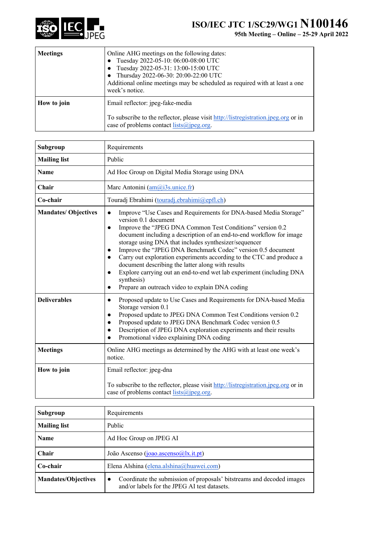

| <b>Meetings</b> | Online AHG meetings on the following dates:<br>Tuesday 2022-05-10: 06:00-08:00 UTC<br>Tuesday 2022-05-31: 13:00-15:00 UTC<br>Thursday 2022-06-30: 20:00-22:00 UTC<br>Additional online meetings may be scheduled as required with at least a one<br>week's notice. |
|-----------------|--------------------------------------------------------------------------------------------------------------------------------------------------------------------------------------------------------------------------------------------------------------------|
| How to join     | Email reflector: jpeg-fake-media<br>To subscribe to the reflector, please visit http://listregistration.jpeg.org or in<br>case of problems contact $lists(\omega)$ jpeg.org.                                                                                       |

| Subgroup                   | Requirements                                                                                                                                                                                                                                                                                                                                                                                                                                                                                                                                                                                                                                                                                 |
|----------------------------|----------------------------------------------------------------------------------------------------------------------------------------------------------------------------------------------------------------------------------------------------------------------------------------------------------------------------------------------------------------------------------------------------------------------------------------------------------------------------------------------------------------------------------------------------------------------------------------------------------------------------------------------------------------------------------------------|
| <b>Mailing list</b>        | Public                                                                                                                                                                                                                                                                                                                                                                                                                                                                                                                                                                                                                                                                                       |
| <b>Name</b>                | Ad Hoc Group on Digital Media Storage using DNA                                                                                                                                                                                                                                                                                                                                                                                                                                                                                                                                                                                                                                              |
| Chair                      | Marc Antonini (am@i3s.unice.fr)                                                                                                                                                                                                                                                                                                                                                                                                                                                                                                                                                                                                                                                              |
| Co-chair                   | Touradj Ebrahimi (touradj.ebrahimi@epfl.ch)                                                                                                                                                                                                                                                                                                                                                                                                                                                                                                                                                                                                                                                  |
| <b>Mandates/Objectives</b> | Improve "Use Cases and Requirements for DNA-based Media Storage"<br>$\bullet$<br>version 0.1 document<br>Improve the "JPEG DNA Common Test Conditions" version 0.2<br>$\bullet$<br>document including a description of an end-to-end workflow for image<br>storage using DNA that includes synthesizer/sequencer<br>Improve the "JPEG DNA Benchmark Codec" version 0.5 document<br>Carry out exploration experiments according to the CTC and produce a<br>$\bullet$<br>document describing the latter along with results<br>Explore carrying out an end-to-end wet lab experiment (including DNA<br>$\bullet$<br>synthesis)<br>Prepare an outreach video to explain DNA coding<br>$\bullet$ |
| <b>Deliverables</b>        | Proposed update to Use Cases and Requirements for DNA-based Media<br>$\bullet$<br>Storage version 0.1<br>Proposed update to JPEG DNA Common Test Conditions version 0.2<br>$\bullet$<br>Proposed update to JPEG DNA Benchmark Codec version 0.5<br>$\bullet$<br>Description of JPEG DNA exploration experiments and their results<br>$\bullet$<br>Promotional video explaining DNA coding                                                                                                                                                                                                                                                                                                    |
| <b>Meetings</b>            | Online AHG meetings as determined by the AHG with at least one week's<br>notice.                                                                                                                                                                                                                                                                                                                                                                                                                                                                                                                                                                                                             |
| How to join                | Email reflector: jpeg-dna<br>To subscribe to the reflector, please visit http://listregistration.jpeg.org or in<br>case of problems contact $lists(\omega)$ jpeg.org.                                                                                                                                                                                                                                                                                                                                                                                                                                                                                                                        |

| Subgroup                   | Requirements                                                                                                                       |
|----------------------------|------------------------------------------------------------------------------------------------------------------------------------|
| <b>Mailing list</b>        | Public                                                                                                                             |
| Name                       | Ad Hoc Group on JPEG AI                                                                                                            |
| <b>Chair</b>               | João Ascenso (joão ascenso $(a)$ lx.it.pt)                                                                                         |
| Co-chair                   | Elena Alshina (elena.alshina@huawei.com)                                                                                           |
| <b>Mandates/Objectives</b> | Coordinate the submission of proposals' bitstreams and decoded images<br>$\bullet$<br>and/or labels for the JPEG AI test datasets. |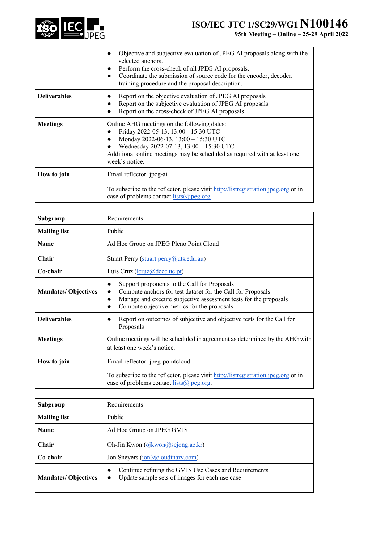

|                     | Objective and subjective evaluation of JPEG AI proposals along with the<br>selected anchors.<br>Perform the cross-check of all JPEG AI proposals.<br>Coordinate the submission of source code for the encoder, decoder,<br>training procedure and the proposal description. |
|---------------------|-----------------------------------------------------------------------------------------------------------------------------------------------------------------------------------------------------------------------------------------------------------------------------|
| <b>Deliverables</b> | Report on the objective evaluation of JPEG AI proposals<br>Report on the subjective evaluation of JPEG AI proposals<br>Report on the cross-check of JPEG AI proposals                                                                                                       |
| <b>Meetings</b>     | Online AHG meetings on the following dates:<br>Friday 2022-05-13, 13:00 - 15:30 UTC<br>Monday 2022-06-13, 13:00 - 15:30 UTC<br>Wednesday 2022-07-13, 13:00 - 15:30 UTC<br>Additional online meetings may be scheduled as required with at least one<br>week's notice.       |
| How to join         | Email reflector: jpeg-ai<br>To subscribe to the reflector, please visit http://listregistration.jpeg.org or in<br>case of problems contact $lists(\hat{a})$ jpeg.org.                                                                                                       |

| Subgroup                    | Requirements                                                                                                                                                                                                                                |
|-----------------------------|---------------------------------------------------------------------------------------------------------------------------------------------------------------------------------------------------------------------------------------------|
| <b>Mailing list</b>         | Public                                                                                                                                                                                                                                      |
| <b>Name</b>                 | Ad Hoc Group on JPEG Pleno Point Cloud                                                                                                                                                                                                      |
| Chair                       | Stuart Perry (stuart.perry@uts.edu.au)                                                                                                                                                                                                      |
| Co-chair                    | Luis Cruz (lcruz@deec.uc.pt)                                                                                                                                                                                                                |
| <b>Mandates/ Objectives</b> | Support proponents to the Call for Proposals<br>$\bullet$<br>Compute anchors for test dataset for the Call for Proposals<br>Manage and execute subjective assessment tests for the proposals<br>Compute objective metrics for the proposals |
| <b>Deliverables</b>         | Report on outcomes of subjective and objective tests for the Call for<br>Proposals                                                                                                                                                          |
| <b>Meetings</b>             | Online meetings will be scheduled in agreement as determined by the AHG with<br>at least one week's notice.                                                                                                                                 |
| How to join                 | Email reflector: jpeg-pointcloud                                                                                                                                                                                                            |
|                             | To subscribe to the reflector, please visit http://listregistration.jpeg.org or in<br>case of problems contact $lists(\hat{a})$ jpeg.org.                                                                                                   |

| Subgroup                   | Requirements                                                                                                                      |
|----------------------------|-----------------------------------------------------------------------------------------------------------------------------------|
| <b>Mailing list</b>        | Public                                                                                                                            |
| <b>Name</b>                | Ad Hoc Group on JPEG GMIS                                                                                                         |
| Chair                      | Oh-Jin Kwon (ojkwon@sejong.ac.kr)                                                                                                 |
| Co-chair                   | Jon Sneyers (jon@cloudinary.com)                                                                                                  |
| <b>Mandates/Objectives</b> | Continue refining the GMIS Use Cases and Requirements<br>$\bullet$<br>Update sample sets of images for each use case<br>$\bullet$ |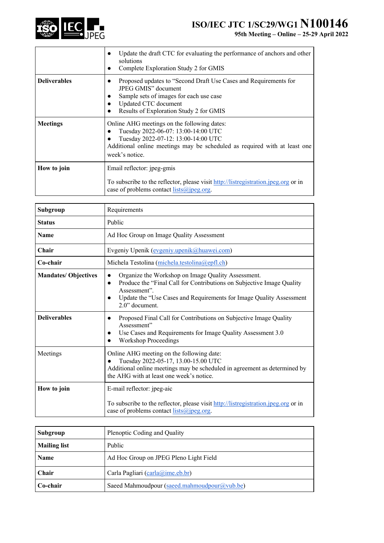

|                     | Update the draft CTC for evaluating the performance of anchors and other<br>solutions<br>Complete Exploration Study 2 for GMIS                                                                                           |
|---------------------|--------------------------------------------------------------------------------------------------------------------------------------------------------------------------------------------------------------------------|
| <b>Deliverables</b> | Proposed updates to "Second Draft Use Cases and Requirements for<br>JPEG GMIS" document<br>Sample sets of images for each use case<br>Updated CTC document<br>Results of Exploration Study 2 for GMIS                    |
| <b>Meetings</b>     | Online AHG meetings on the following dates:<br>Tuesday 2022-06-07: 13:00-14:00 UTC<br>Tuesday 2022-07-12: 13:00-14:00 UTC<br>Additional online meetings may be scheduled as required with at least one<br>week's notice. |
| How to join         | Email reflector: jpeg-gmis<br>To subscribe to the reflector, please visit http://listregistration.jpeg.org or in<br>case of problems contact $lists(\hat{a})$ jpeg.org.                                                  |

| Subgroup                    | Requirements                                                                                                                                                                                                                                                                |
|-----------------------------|-----------------------------------------------------------------------------------------------------------------------------------------------------------------------------------------------------------------------------------------------------------------------------|
| <b>Status</b>               | Public                                                                                                                                                                                                                                                                      |
| <b>Name</b>                 | Ad Hoc Group on Image Quality Assessment                                                                                                                                                                                                                                    |
| Chair                       | Evgeniy Upenik (evgeniy.upenik@huawei.com)                                                                                                                                                                                                                                  |
| Co-chair                    | Michela Testolina (michela.testolina@epfl.ch)                                                                                                                                                                                                                               |
| <b>Mandates/ Objectives</b> | Organize the Workshop on Image Quality Assessment.<br>$\bullet$<br>Produce the "Final Call for Contributions on Subjective Image Quality<br>$\bullet$<br>Assessment".<br>Update the "Use Cases and Requirements for Image Quality Assessment<br>$\bullet$<br>2.0" document. |
| <b>Deliverables</b>         | Proposed Final Call for Contributions on Subjective Image Quality<br>$\bullet$<br>Assessment"<br>Use Cases and Requirements for Image Quality Assessment 3.0<br><b>Workshop Proceedings</b>                                                                                 |
| Meetings                    | Online AHG meeting on the following date:<br>Tuesday 2022-05-17, 13.00-15.00 UTC<br>Additional online meetings may be scheduled in agreement as determined by<br>the AHG with at least one week's notice.                                                                   |
| How to join                 | E-mail reflector: jpeg-aic<br>To subscribe to the reflector, please visit http://listregistration.jpeg.org or in<br>case of problems contact $lists(\hat{a})$ jpeg.org.                                                                                                     |

| Subgroup            | Plenoptic Coding and Quality                 |
|---------------------|----------------------------------------------|
| <b>Mailing list</b> | Public                                       |
| <b>Name</b>         | Ad Hoc Group on JPEG Pleno Light Field       |
| Chair               | Carla Pagliari (carla@ime.eb.br)             |
| Co-chair            | Saeed Mahmoudpour (saeed.mahmoudpour@vub.be) |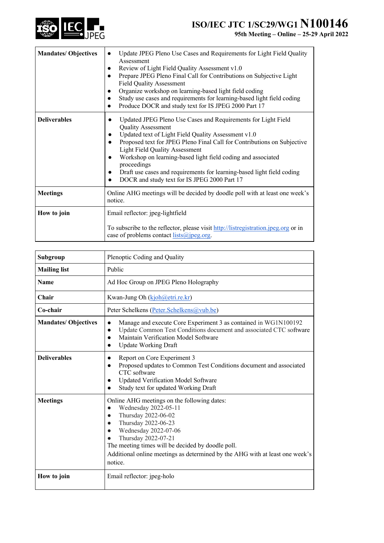

| <b>Mandates/Objectives</b> | Update JPEG Pleno Use Cases and Requirements for Light Field Quality<br>$\bullet$<br>Assessment<br>Review of Light Field Quality Assessment v1.0<br>Prepare JPEG Pleno Final Call for Contributions on Subjective Light<br><b>Field Quality Assessment</b><br>Organize workshop on learning-based light field coding<br>Study use cases and requirements for learning-based light field coding<br>Produce DOCR and study text for IS JPEG 2000 Part 17                                           |
|----------------------------|--------------------------------------------------------------------------------------------------------------------------------------------------------------------------------------------------------------------------------------------------------------------------------------------------------------------------------------------------------------------------------------------------------------------------------------------------------------------------------------------------|
| <b>Deliverables</b>        | Updated JPEG Pleno Use Cases and Requirements for Light Field<br>٠<br><b>Quality Assessment</b><br>Updated text of Light Field Quality Assessment v1.0<br>$\bullet$<br>Proposed text for JPEG Pleno Final Call for Contributions on Subjective<br><b>Light Field Quality Assessment</b><br>Workshop on learning-based light field coding and associated<br>proceedings<br>Draft use cases and requirements for learning-based light field coding<br>DOCR and study text for IS JPEG 2000 Part 17 |
| <b>Meetings</b>            | Online AHG meetings will be decided by doodle poll with at least one week's<br>notice.                                                                                                                                                                                                                                                                                                                                                                                                           |
| How to join                | Email reflector: jpeg-lightfield<br>To subscribe to the reflector, please visit http://listregistration.jpeg.org or in<br>case of problems contact $lists(\hat{a})$ jpeg.org.                                                                                                                                                                                                                                                                                                                    |

| Subgroup                    | Plenoptic Coding and Quality                                                                                                                                                                                                                                                                                                                            |
|-----------------------------|---------------------------------------------------------------------------------------------------------------------------------------------------------------------------------------------------------------------------------------------------------------------------------------------------------------------------------------------------------|
| <b>Mailing list</b>         | Public                                                                                                                                                                                                                                                                                                                                                  |
| <b>Name</b>                 | Ad Hoc Group on JPEG Pleno Holography                                                                                                                                                                                                                                                                                                                   |
| Chair                       | Kwan-Jung Oh (kjoh@etri.re.kr)                                                                                                                                                                                                                                                                                                                          |
| Co-chair                    | Peter Schelkens (Peter.Schelkens@vub.be)                                                                                                                                                                                                                                                                                                                |
| <b>Mandates/ Objectives</b> | Manage and execute Core Experiment 3 as contained in WG1N100192<br>$\bullet$<br>Update Common Test Conditions document and associated CTC software<br>$\bullet$<br>Maintain Verification Model Software<br>$\bullet$<br><b>Update Working Draft</b><br>$\bullet$                                                                                        |
| <b>Deliverables</b>         | Report on Core Experiment 3<br>$\bullet$<br>Proposed updates to Common Test Conditions document and associated<br>$\bullet$<br>CTC software<br>Updated Verification Model Software<br>Study text for updated Working Draft                                                                                                                              |
| <b>Meetings</b>             | Online AHG meetings on the following dates:<br>Wednesday 2022-05-11<br>$\bullet$<br>Thursday 2022-06-02<br>$\bullet$<br>Thursday 2022-06-23<br>$\bullet$<br>Wednesday 2022-07-06<br>Thursday 2022-07-21<br>The meeting times will be decided by doodle poll.<br>Additional online meetings as determined by the AHG with at least one week's<br>notice. |
| How to join                 | Email reflector: jpeg-holo                                                                                                                                                                                                                                                                                                                              |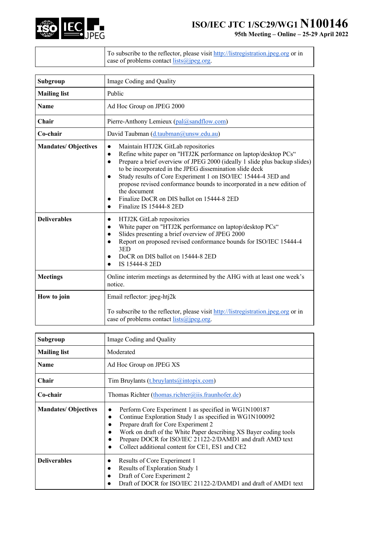

| To subscribe to the reflector, please visit http://listregistration.jpeg.org or in<br>$\vert$ case of problems contact $\frac{\text{lists}(\hat{\omega})\text{peg.org}}{\text{length}}$ |
|-----------------------------------------------------------------------------------------------------------------------------------------------------------------------------------------|
|-----------------------------------------------------------------------------------------------------------------------------------------------------------------------------------------|

| Subgroup                    | Image Coding and Quality                                                                                                                                                                                                                                                                                                                                                                                                                                                                                                                                         |
|-----------------------------|------------------------------------------------------------------------------------------------------------------------------------------------------------------------------------------------------------------------------------------------------------------------------------------------------------------------------------------------------------------------------------------------------------------------------------------------------------------------------------------------------------------------------------------------------------------|
| <b>Mailing list</b>         | Public                                                                                                                                                                                                                                                                                                                                                                                                                                                                                                                                                           |
| <b>Name</b>                 | Ad Hoc Group on JPEG 2000                                                                                                                                                                                                                                                                                                                                                                                                                                                                                                                                        |
| Chair                       | Pierre-Anthony Lemieux (pal@sandflow.com)                                                                                                                                                                                                                                                                                                                                                                                                                                                                                                                        |
| Co-chair                    | David Taubman (d.taubman@unsw.edu.au)                                                                                                                                                                                                                                                                                                                                                                                                                                                                                                                            |
| <b>Mandates/ Objectives</b> | Maintain HTJ2K GitLab repositories<br>$\bullet$<br>Refine white paper on "HTJ2K performance on laptop/desktop PCs"<br>$\bullet$<br>Prepare a brief overview of JPEG 2000 (ideally 1 slide plus backup slides)<br>$\bullet$<br>to be incorporated in the JPEG dissemination slide deck<br>Study results of Core Experiment 1 on ISO/IEC 15444-4 3ED and<br>$\bullet$<br>propose revised conformance bounds to incorporated in a new edition of<br>the document<br>Finalize DoCR on DIS ballot on 15444-8 2ED<br>$\bullet$<br>Finalize IS 15444-8 2ED<br>$\bullet$ |
| <b>Deliverables</b>         | HTJ2K GitLab repositories<br>$\bullet$<br>White paper on "HTJ2K performance on laptop/desktop PCs"<br>$\bullet$<br>Slides presenting a brief overview of JPEG 2000<br>$\bullet$<br>Report on proposed revised conformance bounds for ISO/IEC 15444-4<br>$\bullet$<br>3ED<br>DoCR on DIS ballot on 15444-8 2ED<br>$\bullet$<br>IS 15444-8 2ED<br>$\bullet$                                                                                                                                                                                                        |
| <b>Meetings</b>             | Online interim meetings as determined by the AHG with at least one week's<br>notice.                                                                                                                                                                                                                                                                                                                                                                                                                                                                             |
| How to join                 | Email reflector: jpeg-htj2k<br>To subscribe to the reflector, please visit http://listregistration.jpeg.org or in<br>case of problems contact <i>lists@jpeg.org</i> .                                                                                                                                                                                                                                                                                                                                                                                            |

| Subgroup                    | Image Coding and Quality                                                                                                                                                                                                                                                                                                                                 |
|-----------------------------|----------------------------------------------------------------------------------------------------------------------------------------------------------------------------------------------------------------------------------------------------------------------------------------------------------------------------------------------------------|
| <b>Mailing list</b>         | Moderated                                                                                                                                                                                                                                                                                                                                                |
| <b>Name</b>                 | Ad Hoc Group on JPEG XS                                                                                                                                                                                                                                                                                                                                  |
| Chair                       | Tim Bruylants (t.bruylants@intopix.com)                                                                                                                                                                                                                                                                                                                  |
| Co-chair                    | Thomas Richter (thomas.richter@iis.fraunhofer.de)                                                                                                                                                                                                                                                                                                        |
| <b>Mandates/ Objectives</b> | Perform Core Experiment 1 as specified in WG1N100187<br>Continue Exploration Study 1 as specified in WG1N100092<br>$\bullet$<br>Prepare draft for Core Experiment 2<br>Work on draft of the White Paper describing XS Bayer coding tools<br>Prepare DOCR for ISO/IEC 21122-2/DAMD1 and draft AMD text<br>Collect additional content for CE1, ES1 and CE2 |
| <b>Deliverables</b>         | Results of Core Experiment 1<br>Results of Exploration Study 1<br>$\bullet$<br>Draft of Core Experiment 2<br>Draft of DOCR for ISO/IEC 21122-2/DAMD1 and draft of AMD1 text                                                                                                                                                                              |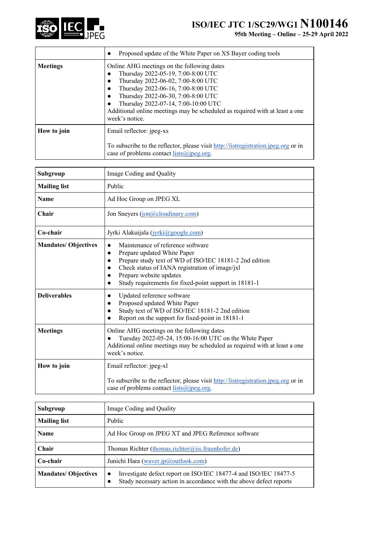

|                 | Proposed update of the White Paper on XS Bayer coding tools<br>$\bullet$                                                                                                                                                                                                                                                                   |
|-----------------|--------------------------------------------------------------------------------------------------------------------------------------------------------------------------------------------------------------------------------------------------------------------------------------------------------------------------------------------|
| <b>Meetings</b> | Online AHG meetings on the following dates<br>Thursday 2022-05-19, 7:00-8:00 UTC<br>Thursday 2022-06-02, 7:00-8:00 UTC<br>Thursday 2022-06-16, 7:00-8:00 UTC<br>Thursday 2022-06-30, 7:00-8:00 UTC<br>Thursday 2022-07-14, 7:00-10:00 UTC<br>Additional online meetings may be scheduled as required with at least a one<br>week's notice. |
| How to join     | Email reflector: jpeg-xs<br>To subscribe to the reflector, please visit http://listregistration.jpeg.org or in<br>case of problems contact lists@jpeg.org.                                                                                                                                                                                 |

| Subgroup                    | Image Coding and Quality                                                                                                                                                                                                                                                       |
|-----------------------------|--------------------------------------------------------------------------------------------------------------------------------------------------------------------------------------------------------------------------------------------------------------------------------|
| <b>Mailing list</b>         | Public                                                                                                                                                                                                                                                                         |
| <b>Name</b>                 | Ad Hoc Group on JPEG XL                                                                                                                                                                                                                                                        |
| Chair                       | Jon Sneyers (jon@cloudinary.com)                                                                                                                                                                                                                                               |
| Co-chair                    | Jyrki Alakuijala (jyrki@google.com)                                                                                                                                                                                                                                            |
| <b>Mandates/ Objectives</b> | Maintenance of reference software<br>Prepare updated White Paper<br>$\bullet$<br>Prepare study text of WD of ISO/IEC 18181-2 2nd edition<br>Check status of IANA registration of image/jxl<br>Prepare website updates<br>Study requirements for fixed-point support in 18181-1 |
| <b>Deliverables</b>         | Updated reference software<br>Proposed updated White Paper<br>Study text of WD of ISO/IEC 18181-2 2nd edition<br>Report on the support for fixed-point in 18181-1                                                                                                              |
| <b>Meetings</b>             | Online AHG meetings on the following dates<br>Tuesday 2022-05-24, 15:00-16:00 UTC on the White Paper<br>Additional online meetings may be scheduled as required with at least a one<br>week's notice.                                                                          |
| How to join                 | Email reflector: jpeg-xl<br>To subscribe to the reflector, please visit http://listregistration.jpeg.org or in<br>case of problems contact lists@jpeg.org.                                                                                                                     |

| Subgroup                   | Image Coding and Quality                                                                                                                                         |
|----------------------------|------------------------------------------------------------------------------------------------------------------------------------------------------------------|
| <b>Mailing list</b>        | Public                                                                                                                                                           |
| <b>Name</b>                | Ad Hoc Group on JPEG XT and JPEG Reference software                                                                                                              |
| Chair                      | Thomas Richter (thomas.richter@iis.fraunhofer.de)                                                                                                                |
| Co-chair                   | Junichi Hara (waver.jp@outlook.com)                                                                                                                              |
| <b>Mandates/Objectives</b> | Investigate defect report on ISO/IEC 18477-4 and ISO/IEC 18477-5<br>$\bullet$<br>Study necessary action in accordance with the above defect reports<br>$\bullet$ |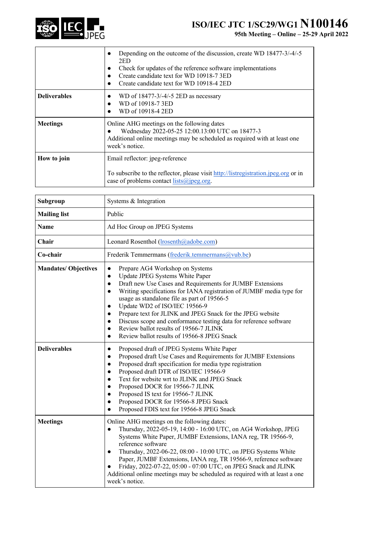

|                     | Depending on the outcome of the discussion, create WD 18477-3/-4/-5<br>2ED<br>Check for updates of the reference software implementations<br>Create candidate text for WD 10918-73ED<br>Create candidate text for WD 10918-4 2ED |
|---------------------|----------------------------------------------------------------------------------------------------------------------------------------------------------------------------------------------------------------------------------|
| <b>Deliverables</b> | WD of $18477 - 3/ - 4/ - 5$ 2ED as necessary<br>WD of 10918-73ED<br>WD of 10918-4 2ED                                                                                                                                            |
| <b>Meetings</b>     | Online AHG meetings on the following dates<br>Wednesday 2022-05-25 12:00.13:00 UTC on 18477-3<br>Additional online meetings may be scheduled as required with at least one<br>week's notice.                                     |
| How to join         | Email reflector: jpeg-reference<br>To subscribe to the reflector, please visit http://listregistration.jpeg.org or in<br>case of problems contact $lists(\omega)$ jpeg.org.                                                      |

| Subgroup                   | Systems & Integration                                                                                                                                                                                                                                                                                                                                                                                                                                                                                                                                                                                                                    |
|----------------------------|------------------------------------------------------------------------------------------------------------------------------------------------------------------------------------------------------------------------------------------------------------------------------------------------------------------------------------------------------------------------------------------------------------------------------------------------------------------------------------------------------------------------------------------------------------------------------------------------------------------------------------------|
| <b>Mailing list</b>        | Public                                                                                                                                                                                                                                                                                                                                                                                                                                                                                                                                                                                                                                   |
| <b>Name</b>                | Ad Hoc Group on JPEG Systems                                                                                                                                                                                                                                                                                                                                                                                                                                                                                                                                                                                                             |
| Chair                      | Leonard Rosenthol (lrosenth@adobe.com)                                                                                                                                                                                                                                                                                                                                                                                                                                                                                                                                                                                                   |
| Co-chair                   | Frederik Temmermans (frederik.temmermans@vub.be)                                                                                                                                                                                                                                                                                                                                                                                                                                                                                                                                                                                         |
| <b>Mandates/Objectives</b> | Prepare AG4 Workshop on Systems<br>$\bullet$<br>Update JPEG Systems White Paper<br>$\bullet$<br>Draft new Use Cases and Requirements for JUMBF Extensions<br>$\bullet$<br>Writing specifications for IANA registration of JUMBF media type for<br>$\bullet$<br>usage as standalone file as part of 19566-5<br>Update WD2 of ISO/IEC 19566-9<br>$\bullet$<br>Prepare text for JLINK and JPEG Snack for the JPEG website<br>$\bullet$<br>Discuss scope and conformance testing data for reference software<br>$\bullet$<br>Review ballot results of 19566-7 JLINK<br>$\bullet$<br>Review ballot results of 19566-8 JPEG Snack<br>$\bullet$ |
| <b>Deliverables</b>        | Proposed draft of JPEG Systems White Paper<br>$\bullet$<br>Proposed draft Use Cases and Requirements for JUMBF Extensions<br>$\bullet$<br>Proposed draft specification for media type registration<br>$\bullet$<br>Proposed draft DTR of ISO/IEC 19566-9<br>$\bullet$<br>Text for website wrt to JLINK and JPEG Snack<br>$\bullet$<br>Proposed DOCR for 19566-7 JLINK<br>$\bullet$<br>Proposed IS text for 19566-7 JLINK<br>$\bullet$<br>Proposed DOCR for 19566-8 JPEG Snack<br>$\bullet$<br>Proposed FDIS text for 19566-8 JPEG Snack<br>$\bullet$                                                                                     |
| <b>Meetings</b>            | Online AHG meetings on the following dates:<br>Thursday, 2022-05-19, 14:00 - 16:00 UTC, on AG4 Workshop, JPEG<br>$\bullet$<br>Systems White Paper, JUMBF Extensions, IANA reg, TR 19566-9,<br>reference software<br>Thursday, 2022-06-22, 08:00 - 10:00 UTC, on JPEG Systems White<br>$\bullet$<br>Paper, JUMBF Extensions, IANA reg, TR 19566-9, reference software<br>Friday, 2022-07-22, 05:00 - 07:00 UTC, on JPEG Snack and JLINK<br>Additional online meetings may be scheduled as required with at least a one<br>week's notice.                                                                                                  |